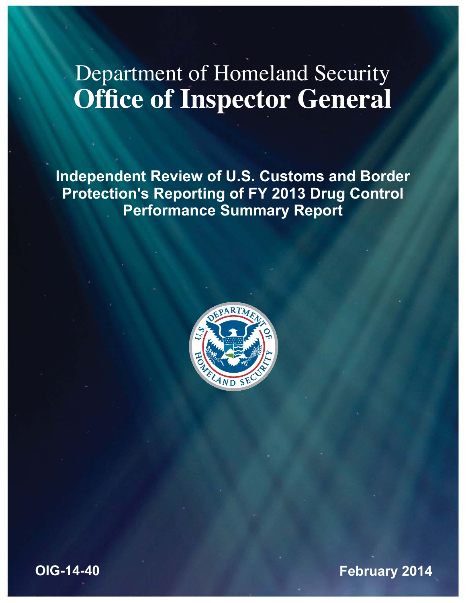# Department of Homeland Security **Office of Inspector General**

**Independent Review of U.S. Customs and Border Protection's Reporting of FY 2013 Drug Control Performance Summary Report** 



**February 2014**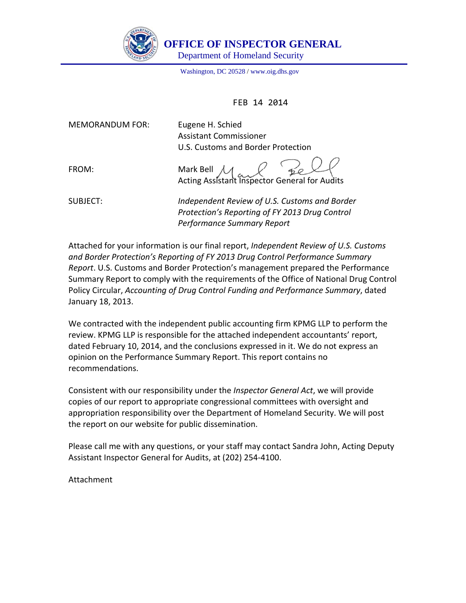

 **OFFICE OF IN**S**PECTOR GENERAL** 

Department of Homeland Security

Washington, DC 20528 / www.oig.dhs.gov

FEB 14 2014

MEMORANDUM FOR:

Eugene H. Schied U.S. Customs and Border Protection Assistant Commissioner

 Acting Assistant Inspector General for AuditsFROM: Mark Bell  $\Lambda$ 

 SUBJECT: *Independent Review of U.S. Customs and Border Protection's Reporting of FY 2013 Drug Control Performance Summary Report*

  Attached for your information is our final report, *Independent Review of U.S. Customs and Border Protection's Reporting of FY 2013 Drug Control Performance Summary Report*. U.S. Customs and Border Protection's management prepared the Performance Summary Report to comply with the requirements of the Office of National Drug Control  Policy Circular, *Accounting of Drug Control Funding and Performance Summary*, dated January 18, 2013.

 We contracted with the independent public accounting firm KPMG LLP to perform the review. KPMG LLP is responsible for the attached independent accountants' report, dated February 10, 2014, and the conclusions expressed in it. We do not express an opinion on the Performance Summary Report. This report contains no recommendations.

  Consistent with our responsibility under the *Inspector General Act*, we will provide copies of our report to appropriate congressional committees with oversight and appropriation responsibility over the Department of Homeland Security. We will post the report on our website for public dissemination.

 Please call me with any questions, or your staff may contact Sandra John, Acting Deputy Assistant Inspector General for Audits, at (202) 254‐4100.

Attachment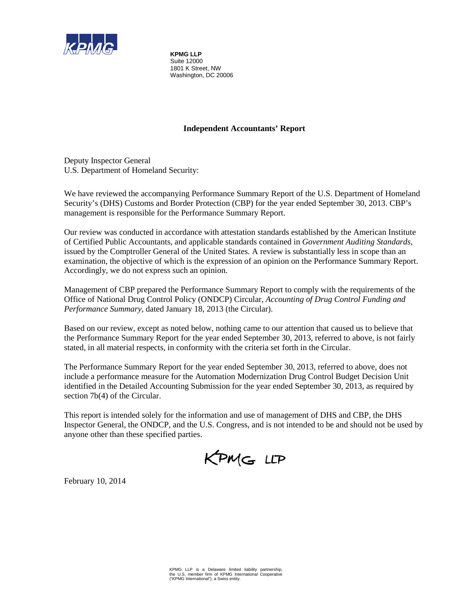

**KPMG LLP** Suite 12000 1801 K Street, NW Washington, DC 20006

#### **Independent Accountants' Report**

Deputy Inspector General U.S. Department of Homeland Security:

We have reviewed the accompanying Performance Summary Report of the U.S. Department of Homeland Security's (DHS) Customs and Border Protection (CBP) for the year ended September 30, 2013. CBP's management is responsible for the Performance Summary Report.

 issued by the Comptroller General of the United States. A review is substantially less in scope than an Our review was conducted in accordance with attestation standards established by the American Institute of Certified Public Accountants, and applicable standards contained in *Government Auditing Standards*, examination, the objective of which is the expression of an opinion on the Performance Summary Report. Accordingly, we do not express such an opinion.

Management of CBP prepared the Performance Summary Report to comply with the requirements of the Office of National Drug Control Policy (ONDCP) Circular, *Accounting of Drug Control Funding and Performance Summary,* dated January 18, 2013 (the Circular).

 stated, in all material respects, in conformity with the criteria set forth in the Circular. Based on our review, except as noted below, nothing came to our attention that caused us to believe that the Performance Summary Report for the year ended September 30, 2013, referred to above, is not fairly

The Performance Summary Report for the year ended September 30, 2013, referred to above, does not include a performance measure for the Automation Modernization Drug Control Budget Decision Unit identified in the Detailed Accounting Submission for the year ended September 30, 2013, as required by section 7b(4) of the Circular.

 This report is intended solely for the information and use of management of DHS and CBP, the DHS Inspector General, the ONDCP, and the U.S. Congress, and is not intended to be and should not be used by anyone other than these specified parties.

KPMG LLP

February 10, 2014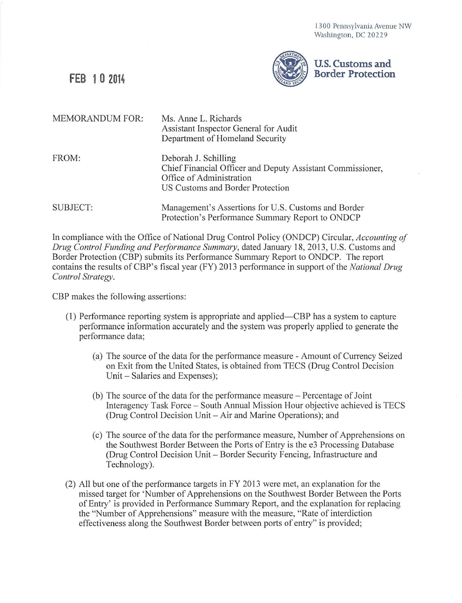1300 Pennsylvania Avenue NW Washington, DC 20229



| <b>MEMORANDUM FOR:</b> | Ms. Anne L. Richards<br>Assistant Inspector General for Audit<br>Department of Homeland Security                                                   |
|------------------------|----------------------------------------------------------------------------------------------------------------------------------------------------|
| FROM:                  | Deborah J. Schilling<br>Chief Financial Officer and Deputy Assistant Commissioner,<br>Office of Administration<br>US Customs and Border Protection |
| SUBJECT:               | Management's Assertions for U.S. Customs and Border<br>Protection's Performance Summary Report to ONDCP                                            |

In compliance with the Office of National Drug Control Policy (ONDCP) Circular, *Accounting of Drug Control Funding and Performance Summary*, dated January 18, 2013, U.S. Customs and Border Protection (CBP) submits its Performance Summary Report to ONDCP. The report contains the results of CBP's fiscal year (FY) 2013 performance in support of the *National Drug Control Strategy.* 

CBP makes the following assertions:

- (1) Performance reporting system is appropriate and applied- CBP has a system to capture performance information accurately and the system was properly applied to generate the performance data;
	- (a) The source of the data for the performance measure Amount of Currency Seized on Exit from the United States, is obtained from TECS (Drug Control Decision Unit – Salaries and Expenses);
	- (b) The source of the data for the performance measure Percentage of Joint Interagency Task Force - South Annual Mission Hour objective achieved is TECS (Drug Control Decision Unit – Air and Marine Operations); and
	- (c) The source of the data for the performance measure, Number of Apprehensions on the Southwest Border Between the Ports of Entry is the e3 Processing Database (Drug Control Decision Unit - Border Security Fencing, Infrastructure and Technology).
- (2) All but one of the performance targets in FY 2013 were met, an explanation for the missed target for 'Number of Apprehensions on the Southwest Border Between the Ports of Entry' is provided in Performance Summary Report, and the explanation for replacing the "Number of Apprehensions" measure with the measure, "Rate of interdiction effectiveness along the Southwest Border between ports of entry" is provided;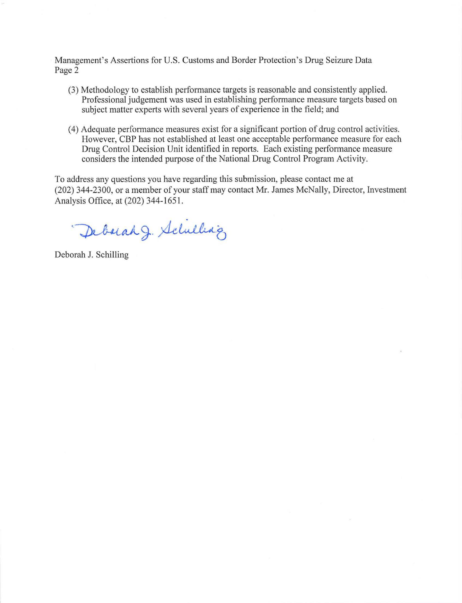Management's Assertions for U.S. Customs and Border Protection's Drug Seizure Data Page 2

- (3) Methodology to establish performance targets is reasonable and consistently applied. Professional judgement was used in establishing performance measure targets based on subject matter experts with several years of experience in the field; and
- (4) Adequate performance measures exist for a significant portion of drug control activities. However, CBP has not established at least one acceptable performance measure for each Drug Control Decision Unit identified in reports. Each existing performance measure considers the intended purpose of the National Drug Control Program Activity.

To address any questions you have regarding this submission, please contact me at (202) 344-2300, or a member of your staff may contact Mr. James McNally, Director, Investment Analysis Office, at (202) 344-1651.

Deborah J. Schilling

Deborah J. Schilling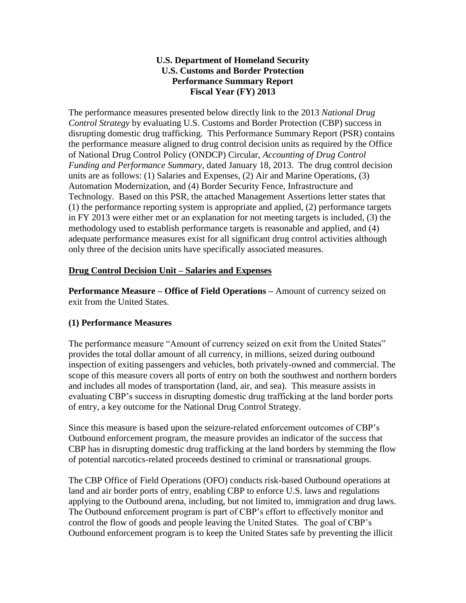# **U.S. Customs and Border Protection Fiscal Year (FY) 2013 U.S. Department of Homeland Security Performance Summary Report**

 The performance measures presented below directly link to the 2013 *National Drug Control Strategy* by evaluating U.S. Customs and Border Protection (CBP) success in disrupting domestic drug trafficking. This Performance Summary Report (PSR) contains the performance measure aligned to drug control decision units as required by the Office units are as follows: (1) Salaries and Expenses, (2) Air and Marine Operations, (3) in FY 2013 were either met or an explanation for not meeting targets is included, (3) the of National Drug Control Policy (ONDCP) Circular, *Accounting of Drug Control Funding and Performance Summary*, dated January 18, 2013. The drug control decision Automation Modernization, and (4) Border Security Fence, Infrastructure and Technology. Based on this PSR, the attached Management Assertions letter states that (1) the performance reporting system is appropriate and applied, (2) performance targets methodology used to establish performance targets is reasonable and applied, and (4) adequate performance measures exist for all significant drug control activities although only three of the decision units have specifically associated measures.

# **Drug Control Decision Unit – Salaries and Expenses**

 **Performance Measure – Office of Field Operations –** Amount of currency seized on exit from the United States.

# **(1) Performance Measures**

The performance measure "Amount of currency seized on exit from the United States" provides the total dollar amount of all currency, in millions, seized during outbound inspection of exiting passengers and vehicles, both privately-owned and commercial. The scope of this measure covers all ports of entry on both the southwest and northern borders and includes all modes of transportation (land, air, and sea). This measure assists in evaluating CBP's success in disrupting domestic drug trafficking at the land border ports of entry, a key outcome for the National Drug Control Strategy.

Since this measure is based upon the seizure-related enforcement outcomes of CBP's Outbound enforcement program, the measure provides an indicator of the success that CBP has in disrupting domestic drug trafficking at the land borders by stemming the flow of potential narcotics-related proceeds destined to criminal or transnational groups.

The CBP Office of Field Operations (OFO) conducts risk-based Outbound operations at land and air border ports of entry, enabling CBP to enforce U.S. laws and regulations applying to the Outbound arena, including, but not limited to, immigration and drug laws. The Outbound enforcement program is part of CBP's effort to effectively monitor and control the flow of goods and people leaving the United States. The goal of CBP's Outbound enforcement program is to keep the United States safe by preventing the illicit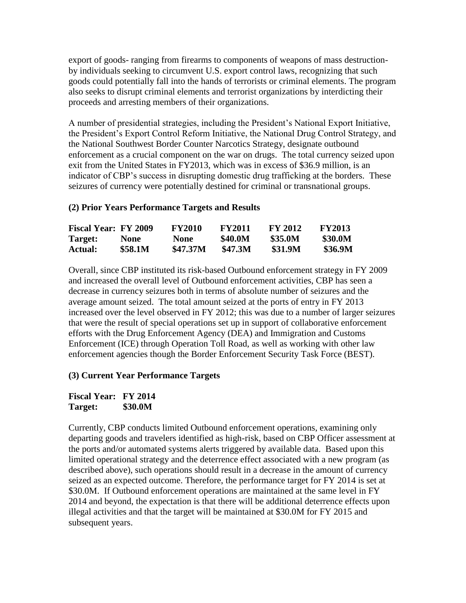export of goods- ranging from firearms to components of weapons of mass destruction- goods could potentially fall into the hands of terrorists or criminal elements. The program by individuals seeking to circumvent U.S. export control laws, recognizing that such also seeks to disrupt criminal elements and terrorist organizations by interdicting their proceeds and arresting members of their organizations.

A number of presidential strategies, including the President's National Export Initiative, the President's Export Control Reform Initiative, the National Drug Control Strategy, and the National Southwest Border Counter Narcotics Strategy, designate outbound enforcement as a crucial component on the war on drugs. The total currency seized upon exit from the United States in FY2013, which was in excess of \$36.9 million, is an indicator of CBP's success in disrupting domestic drug trafficking at the borders. These seizures of currency were potentially destined for criminal or transnational groups.

#### **(2) Prior Years Performance Targets and Results**

| <b>Fiscal Year: FY 2009</b> |             | <b>FY2010</b> | <b>FY2011</b>  | <b>FY 2012</b> | <b>FY2013</b>  |
|-----------------------------|-------------|---------------|----------------|----------------|----------------|
| Target:                     | <b>None</b> | <b>None</b>   | <b>\$40.0M</b> | \$35.0M        | <b>\$30.0M</b> |
| Actual:                     | \$58.1M     | \$47.37M      | <b>\$47.3M</b> | \$31.9M        | <b>\$36.9M</b> |

 enforcement agencies though the Border Enforcement Security Task Force (BEST). Overall, since CBP instituted its risk-based Outbound enforcement strategy in FY 2009 and increased the overall level of Outbound enforcement activities, CBP has seen a decrease in currency seizures both in terms of absolute number of seizures and the average amount seized. The total amount seized at the ports of entry in FY 2013 increased over the level observed in FY 2012; this was due to a number of larger seizures that were the result of special operations set up in support of collaborative enforcement efforts with the Drug Enforcement Agency (DEA) and Immigration and Customs Enforcement (ICE) through Operation Toll Road, as well as working with other law

# **(3) Current Year Performance Targets**

**Fiscal Year: FY 2014 Target: \$30.0M** 

 seized as an expected outcome. Therefore, the performance target for FY 2014 is set at illegal activities and that the target will be maintained at \$30.0M for FY 2015 and Currently, CBP conducts limited Outbound enforcement operations, examining only departing goods and travelers identified as high-risk, based on CBP Officer assessment at the ports and/or automated systems alerts triggered by available data. Based upon this limited operational strategy and the deterrence effect associated with a new program (as described above), such operations should result in a decrease in the amount of currency \$30.0M. If Outbound enforcement operations are maintained at the same level in FY 2014 and beyond, the expectation is that there will be additional deterrence effects upon subsequent years.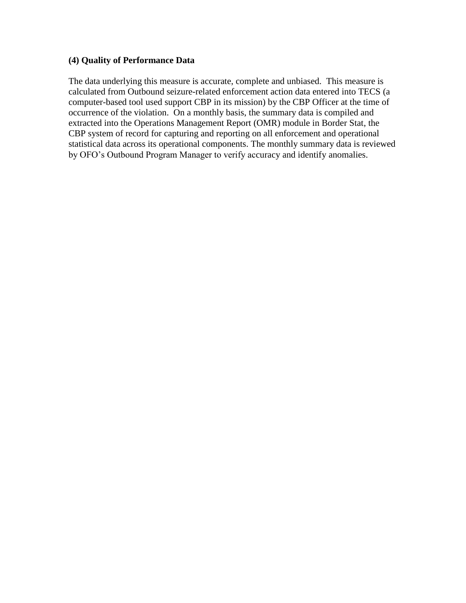#### **(4) Quality of Performance Data**

 calculated from Outbound seizure-related enforcement action data entered into TECS (a The data underlying this measure is accurate, complete and unbiased. This measure is computer-based tool used support CBP in its mission) by the CBP Officer at the time of occurrence of the violation. On a monthly basis, the summary data is compiled and extracted into the Operations Management Report (OMR) module in Border Stat, the CBP system of record for capturing and reporting on all enforcement and operational statistical data across its operational components. The monthly summary data is reviewed by OFO's Outbound Program Manager to verify accuracy and identify anomalies.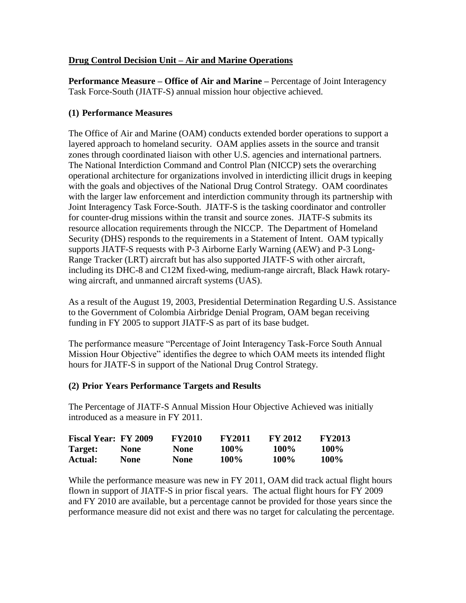# **Drug Control Decision Unit – Air and Marine Operations**

 **Performance Measure – Office of Air and Marine –** Percentage of Joint Interagency Task Force-South (JIATF-S) annual mission hour objective achieved.

# **(1) Performance Measures**

 layered approach to homeland security. OAM applies assets in the source and transit including its DHC-8 and C12M fixed-wing, medium-range aircraft, Black Hawk rotary- wing aircraft, and unmanned aircraft systems (UAS). The Office of Air and Marine (OAM) conducts extended border operations to support a zones through coordinated liaison with other U.S. agencies and international partners. The National Interdiction Command and Control Plan (NICCP) sets the overarching operational architecture for organizations involved in interdicting illicit drugs in keeping with the goals and objectives of the National Drug Control Strategy. OAM coordinates with the larger law enforcement and interdiction community through its partnership with Joint Interagency Task Force-South. JIATF-S is the tasking coordinator and controller for counter-drug missions within the transit and source zones. JIATF-S submits its resource allocation requirements through the NICCP. The Department of Homeland Security (DHS) responds to the requirements in a Statement of Intent. OAM typically supports JIATF-S requests with P-3 Airborne Early Warning (AEW) and P-3 Long-Range Tracker (LRT) aircraft but has also supported JIATF-S with other aircraft,

As a result of the August 19, 2003, Presidential Determination Regarding U.S. Assistance to the Government of Colombia Airbridge Denial Program, OAM began receiving funding in FY 2005 to support JIATF-S as part of its base budget.

The performance measure "Percentage of Joint Interagency Task-Force South Annual Mission Hour Objective" identifies the degree to which OAM meets its intended flight hours for JIATF-S in support of the National Drug Control Strategy.

# **(2) Prior Years Performance Targets and Results**

The Percentage of JIATF-S Annual Mission Hour Objective Achieved was initially introduced as a measure in FY 2011.

| <b>Fiscal Year: FY 2009</b> |             | <b>FY2010</b> | <b>FY2011</b> | FY 2012 | <b>FY2013</b> |
|-----------------------------|-------------|---------------|---------------|---------|---------------|
| Target:                     | <b>None</b> | <b>None</b>   | $100\%$       | $100\%$ | $100\%$       |
| Actual:                     | None        | <b>None</b>   | <b>100%</b>   | $100\%$ | $100\%$       |

 and FY 2010 are available, but a percentage cannot be provided for those years since the performance measure did not exist and there was no target for calculating the percentage. While the performance measure was new in FY 2011, OAM did track actual flight hours flown in support of JIATF-S in prior fiscal years. The actual flight hours for FY 2009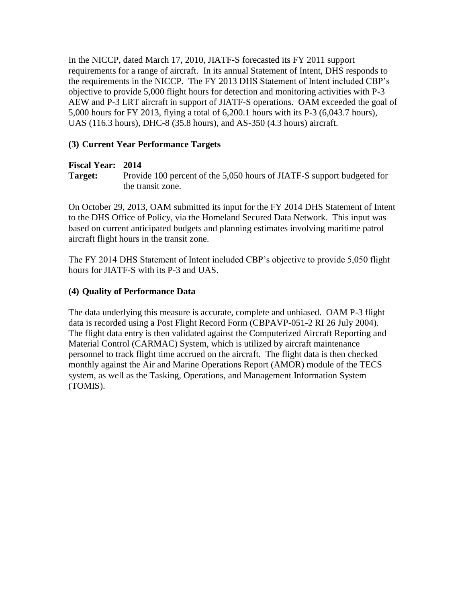requirements for a range of aircraft. In its annual Statement of Intent, DHS responds to the requirements in the NICCP. The FY 2013 DHS Statement of Intent included CBP's In the NICCP, dated March 17, 2010, JIATF-S forecasted its FY 2011 support objective to provide 5,000 flight hours for detection and monitoring activities with P-3 AEW and P-3 LRT aircraft in support of JIATF-S operations. OAM exceeded the goal of 5,000 hours for FY 2013, flying a total of 6,200.1 hours with its P-3 (6,043.7 hours), UAS (116.3 hours), DHC-8 (35.8 hours), and AS-350 (4.3 hours) aircraft.

# **(3) Current Year Performance Targets**

# **Fiscal Year: 2014**

Target:

Provide 100 percent of the 5,050 hours of JIATF-S support budgeted for the transit zone.

 to the DHS Office of Policy, via the Homeland Secured Data Network. This input was aircraft flight hours in the transit zone. On October 29, 2013, OAM submitted its input for the FY 2014 DHS Statement of Intent based on current anticipated budgets and planning estimates involving maritime patrol

 hours for JIATF-S with its P-3 and UAS. The FY 2014 DHS Statement of Intent included CBP's objective to provide 5,050 flight

# **(4) Quality of Performance Data**

The data underlying this measure is accurate, complete and unbiased. OAM P-3 flight data is recorded using a Post Flight Record Form (CBPAVP-051-2 RI 26 July 2004). The flight data entry is then validated against the Computerized Aircraft Reporting and Material Control (CARMAC) System, which is utilized by aircraft maintenance personnel to track flight time accrued on the aircraft. The flight data is then checked monthly against the Air and Marine Operations Report (AMOR) module of the TECS system, as well as the Tasking, Operations, and Management Information System (TOMIS).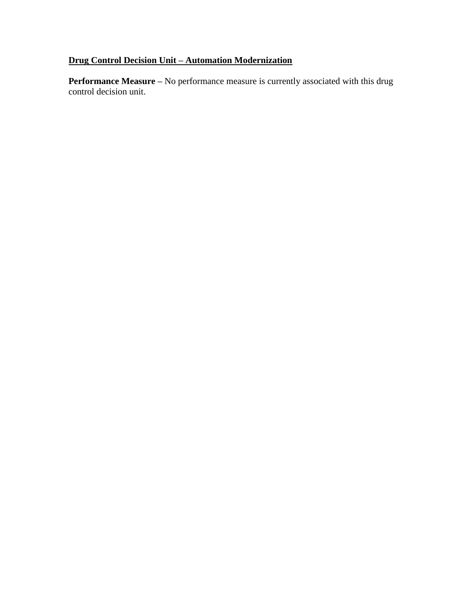# **Drug Control Decision Unit – Automation Modernization**

**Performance Measure** – No performance measure is currently associated with this drug control decision unit.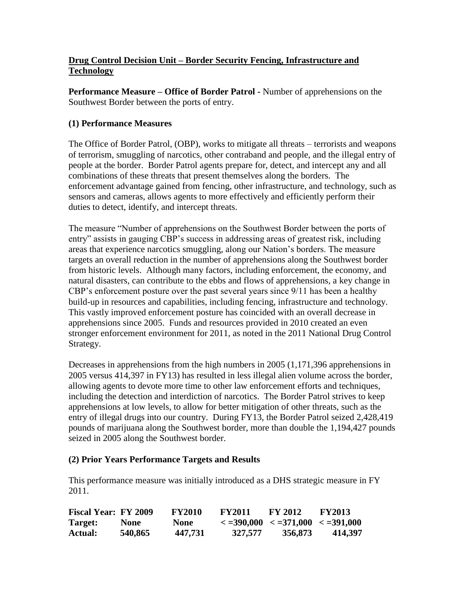# **Drug Control Decision Unit – Border Security Fencing, Infrastructure and Technology**

 **Performance Measure – Office of Border Patrol -** Number of apprehensions on the Southwest Border between the ports of entry.

# **(1) Performance Measures**

 people at the border. Border Patrol agents prepare for, detect, and intercept any and all The Office of Border Patrol, (OBP), works to mitigate all threats – terrorists and weapons of terrorism, smuggling of narcotics, other contraband and people, and the illegal entry of combinations of these threats that present themselves along the borders. The enforcement advantage gained from fencing, other infrastructure, and technology, such as sensors and cameras, allows agents to more effectively and efficiently perform their duties to detect, identify, and intercept threats.

The measure "Number of apprehensions on the Southwest Border between the ports of entry" assists in gauging CBP's success in addressing areas of greatest risk, including areas that experience narcotics smuggling, along our Nation's borders. The measure targets an overall reduction in the number of apprehensions along the Southwest border from historic levels. Although many factors, including enforcement, the economy, and natural disasters, can contribute to the ebbs and flows of apprehensions, a key change in CBP's enforcement posture over the past several years since 9/11 has been a healthy build-up in resources and capabilities, including fencing, infrastructure and technology. This vastly improved enforcement posture has coincided with an overall decrease in apprehensions since 2005. Funds and resources provided in 2010 created an even stronger enforcement environment for 2011, as noted in the 2011 National Drug Control Strategy.

 allowing agents to devote more time to other law enforcement efforts and techniques, apprehensions at low levels, to allow for better mitigation of other threats, such as the Decreases in apprehensions from the high numbers in 2005 (1,171,396 apprehensions in 2005 versus 414,397 in FY13) has resulted in less illegal alien volume across the border, including the detection and interdiction of narcotics. The Border Patrol strives to keep entry of illegal drugs into our country. During FY13, the Border Patrol seized 2,428,419 pounds of marijuana along the Southwest border, more than double the 1,194,427 pounds seized in 2005 along the Southwest border.

# **(2) Prior Years Performance Targets and Results**

This performance measure was initially introduced as a DHS strategic measure in FY 2011.

| <b>Fiscal Year: FY 2009</b> |         | <b>FY2010</b> | <b>FY2011</b> | <b>FY 2012</b>                                                                         | <b>FY2013</b> |
|-----------------------------|---------|---------------|---------------|----------------------------------------------------------------------------------------|---------------|
| Target:                     | None    | <b>None</b>   |               | $\langle 12.390,000 \rangle$ $\langle 12.371,000 \rangle$ $\langle 12.391,000 \rangle$ |               |
| Actual:                     | 540,865 | 447,731       | 327,577       | 356,873                                                                                | 414.397       |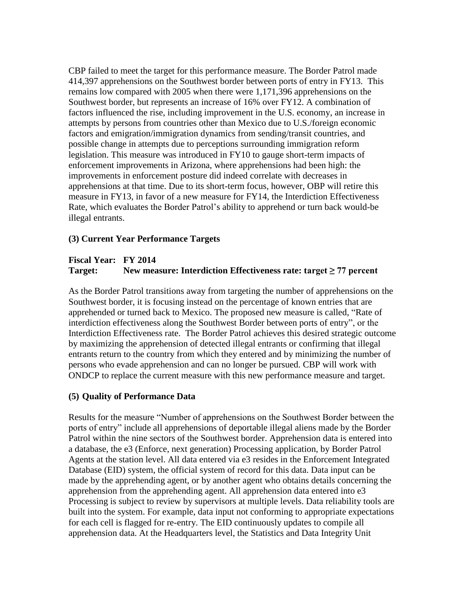CBP failed to meet the target for this performance measure. The Border Patrol made measure in FY13, in favor of a new measure for FY14, the Interdiction Effectiveness 414,397 apprehensions on the Southwest border between ports of entry in FY13. This remains low compared with 2005 when there were 1,171,396 apprehensions on the Southwest border, but represents an increase of 16% over FY12. A combination of factors influenced the rise, including improvement in the U.S. economy, an increase in attempts by persons from countries other than Mexico due to U.S./foreign economic factors and emigration/immigration dynamics from sending/transit countries, and possible change in attempts due to perceptions surrounding immigration reform legislation. This measure was introduced in FY10 to gauge short-term impacts of enforcement improvements in Arizona, where apprehensions had been high: the improvements in enforcement posture did indeed correlate with decreases in apprehensions at that time. Due to its short-term focus, however, OBP will retire this Rate, which evaluates the Border Patrol's ability to apprehend or turn back would-be illegal entrants.

#### **(3) Current Year Performance Targets**

# **Fiscal Year: FY 2014 Target: New measure: Interdiction Effectiveness rate: target ≥ 77 percent**

As the Border Patrol transitions away from targeting the number of apprehensions on the Southwest border, it is focusing instead on the percentage of known entries that are apprehended or turned back to Mexico. The proposed new measure is called, "Rate of interdiction effectiveness along the Southwest Border between ports of entry", or the Interdiction Effectiveness rate. The Border Patrol achieves this desired strategic outcome by maximizing the apprehension of detected illegal entrants or confirming that illegal entrants return to the country from which they entered and by minimizing the number of persons who evade apprehension and can no longer be pursued. CBP will work with ONDCP to replace the current measure with this new performance measure and target.

#### **(5) Quality of Performance Data**

Results for the measure "Number of apprehensions on the Southwest Border between the ports of entry" include all apprehensions of deportable illegal aliens made by the Border Patrol within the nine sectors of the Southwest border. Apprehension data is entered into a database, the e3 (Enforce, next generation) Processing application, by Border Patrol Agents at the station level. All data entered via e3 resides in the Enforcement Integrated Database (EID) system, the official system of record for this data. Data input can be made by the apprehending agent, or by another agent who obtains details concerning the apprehension from the apprehending agent. All apprehension data entered into e3 Processing is subject to review by supervisors at multiple levels. Data reliability tools are built into the system. For example, data input not conforming to appropriate expectations for each cell is flagged for re-entry. The EID continuously updates to compile all apprehension data. At the Headquarters level, the Statistics and Data Integrity Unit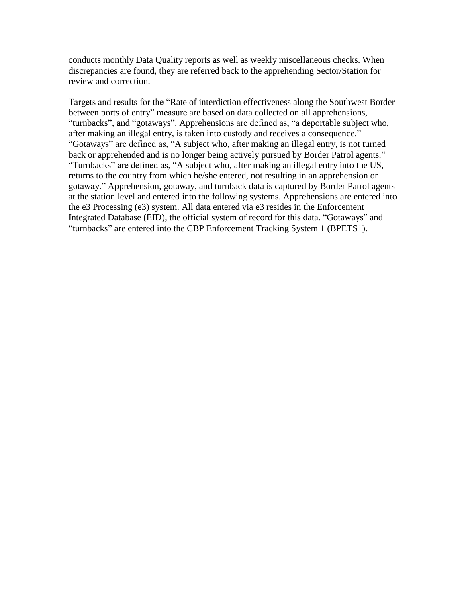discrepancies are found, they are referred back to the apprehending Sector/Station for conducts monthly Data Quality reports as well as weekly miscellaneous checks. When review and correction.

 between ports of entry" measure are based on data collected on all apprehensions, Targets and results for the "Rate of interdiction effectiveness along the Southwest Border "turnbacks", and "gotaways". Apprehensions are defined as, "a deportable subject who, after making an illegal entry, is taken into custody and receives a consequence." "Gotaways" are defined as, "A subject who, after making an illegal entry, is not turned back or apprehended and is no longer being actively pursued by Border Patrol agents." "Turnbacks" are defined as, "A subject who, after making an illegal entry into the US, returns to the country from which he/she entered, not resulting in an apprehension or gotaway." Apprehension, gotaway, and turnback data is captured by Border Patrol agents at the station level and entered into the following systems. Apprehensions are entered into the e3 Processing (e3) system. All data entered via e3 resides in the Enforcement Integrated Database (EID), the official system of record for this data. "Gotaways" and "turnbacks" are entered into the CBP Enforcement Tracking System 1 (BPETS1).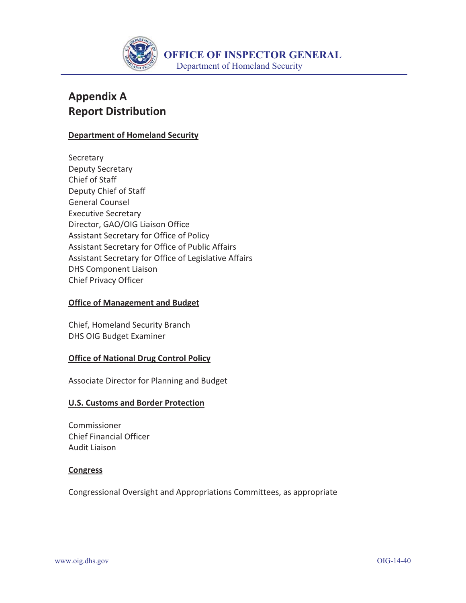

# **Appendix A Report Distribution**

#### **Department of Homeland Security**

Secretary Deputy Secretary Chief of Staff Deputy Chief of Staff General Counsel Executive Secretary Director, GAO/OIG Liaison Office Assistant Secretary for Office of Policy Assistant Secretary for Office of Public Affairs Assistant Secretary for Office of Legislative Affairs DHS Component Liaison Chief Privacy Officer

#### **Office of Management and Budget**

Chief, Homeland Security Branch DHS OIG Budget Examiner

#### **Office of National Drug Control Policy**

Associate Director for Planning and Budget

#### **U.S. Customs and Border Protection**

Commissioner Chief Financial Officer Audit Liaison

#### **Congress**

Congressional Oversight and Appropriations Committees, as appropriate